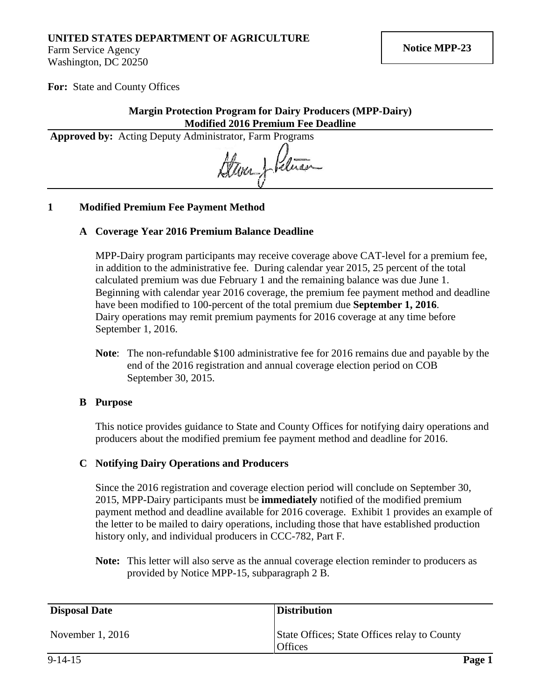## **UNITED STATES DEPARTMENT OF AGRICULTURE**

Farm Service Agency Washington, DC 20250

**For:** State and County Offices

#### **Margin Protection Program for Dairy Producers (MPP-Dairy) Modified 2016 Premium Fee Deadline**

Approved by: Acting Deputy Administrator, Farm Programs<br>Range of Range of the Range of the Range of the Range of the Range of the Range of the Range of the Range of the Range of the Range of the Range of the Range of the R

#### **1 Modified Premium Fee Payment Method**

#### **A Coverage Year 2016 Premium Balance Deadline**

MPP-Dairy program participants may receive coverage above CAT-level for a premium fee, in addition to the administrative fee. During calendar year 2015, 25 percent of the total calculated premium was due February 1 and the remaining balance was due June 1. Beginning with calendar year 2016 coverage, the premium fee payment method and deadline have been modified to 100-percent of the total premium due **September 1, 2016**. Dairy operations may remit premium payments for 2016 coverage at any time before September 1, 2016.

**Note**: The non-refundable \$100 administrative fee for 2016 remains due and payable by the end of the 2016 registration and annual coverage election period on COB September 30, 2015.

#### **B Purpose**

This notice provides guidance to State and County Offices for notifying dairy operations and producers about the modified premium fee payment method and deadline for 2016.

#### **C Notifying Dairy Operations and Producers**

Since the 2016 registration and coverage election period will conclude on September 30, 2015, MPP-Dairy participants must be **immediately** notified of the modified premium payment method and deadline available for 2016 coverage. Exhibit 1 provides an example of the letter to be mailed to dairy operations, including those that have established production history only, and individual producers in CCC-782, Part F.

**Note:** This letter will also serve as the annual coverage election reminder to producers as provided by Notice MPP-15, subparagraph 2 B.

| <b>Disposal Date</b> | <b>Distribution</b>                                            |
|----------------------|----------------------------------------------------------------|
| November $1, 2016$   | State Offices; State Offices relay to County<br><b>Offices</b> |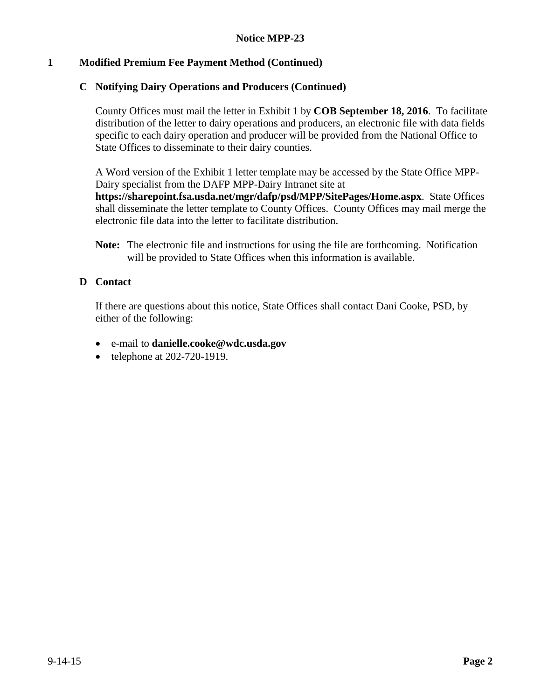# **1 Modified Premium Fee Payment Method (Continued)**

## **C Notifying Dairy Operations and Producers (Continued)**

County Offices must mail the letter in Exhibit 1 by **COB September 18, 2016**. To facilitate distribution of the letter to dairy operations and producers, an electronic file with data fields specific to each dairy operation and producer will be provided from the National Office to State Offices to disseminate to their dairy counties.

A Word version of the Exhibit 1 letter template may be accessed by the State Office MPP-Dairy specialist from the DAFP MPP-Dairy Intranet site at

**<https://sharepoint.fsa.usda.net/mgr/dafp/psd/MPP/SitePages/Home.aspx>**. State Offices shall disseminate the letter template to County Offices. County Offices may mail merge the electronic file data into the letter to facilitate distribution.

**Note:** The electronic file and instructions for using the file are forthcoming. Notification will be provided to State Offices when this information is available.

### **D Contact**

If there are questions about this notice, State Offices shall contact Dani Cooke, PSD, by either of the following:

- e-mail to **[danielle.cooke@wdc.usda.gov](mailto:danielle.cooke@wdc.usda.gov)**
- telephone at 202-720-1919.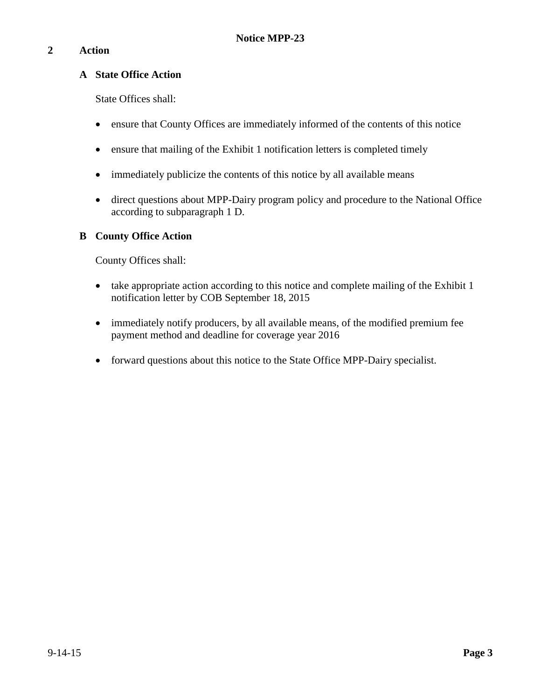# **2 Action**

### **A State Office Action**

State Offices shall:

- ensure that County Offices are immediately informed of the contents of this notice
- ensure that mailing of the Exhibit 1 notification letters is completed timely
- immediately publicize the contents of this notice by all available means
- direct questions about MPP-Dairy program policy and procedure to the National Office according to subparagraph 1 D.

# **B County Office Action**

County Offices shall:

- take appropriate action according to this notice and complete mailing of the Exhibit 1 notification letter by COB September 18, 2015
- immediately notify producers, by all available means, of the modified premium fee payment method and deadline for coverage year 2016
- forward questions about this notice to the State Office MPP-Dairy specialist.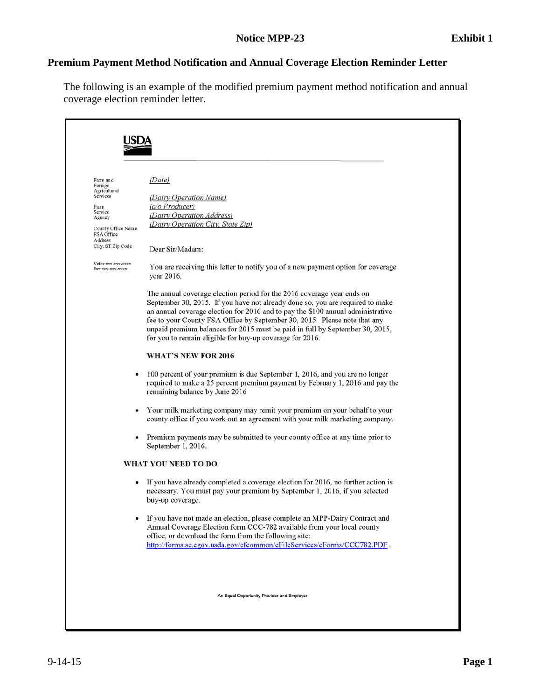# **Premium Payment Method Notification and Annual Coverage Election Reminder Letter**

The following is an example of the modified premium payment method notification and annual coverage election reminder letter.

| Farm and<br>Foreign<br>Agricultural<br>Services<br>Farm<br>Service<br>Agency<br>County Office Name<br>FSA Office<br>Address<br>City, ST Zip Code<br>Voice:xxx-xxx-xxxx<br>Fax:xxx-xxx-xxxx | (Date)<br>(Dairy Operation Name)<br>$(c/O$ Producer)<br>(Dairy Operation Address)<br>(Dairy Operation City, State Zip)<br>Dear Sir/Madam:<br>You are receiving this letter to notify you of a new payment option for coverage                                                                                                                                                                                                                                                     |
|--------------------------------------------------------------------------------------------------------------------------------------------------------------------------------------------|-----------------------------------------------------------------------------------------------------------------------------------------------------------------------------------------------------------------------------------------------------------------------------------------------------------------------------------------------------------------------------------------------------------------------------------------------------------------------------------|
|                                                                                                                                                                                            | year 2016.<br>The annual coverage election period for the 2016 coverage year ends on<br>September 30, 2015. If you have not already done so, you are required to make<br>an annual coverage election for 2016 and to pay the \$100 annual administrative<br>fee to your County FSA Office by September 30, 2015. Please note that any<br>unpaid premium balances for 2015 must be paid in full by September 30, 2015,<br>for you to remain eligible for buy-up coverage for 2016. |
|                                                                                                                                                                                            | <b>WHAT'S NEW FOR 2016</b>                                                                                                                                                                                                                                                                                                                                                                                                                                                        |
|                                                                                                                                                                                            | 100 percent of your premium is due September 1, 2016, and you are no longer<br>required to make a 25 percent premium payment by February 1, 2016 and pay the<br>remaining balance by June 2016                                                                                                                                                                                                                                                                                    |
|                                                                                                                                                                                            | Your milk marketing company may remit your premium on your behalf to your<br>county office if you work out an agreement with your milk marketing company.                                                                                                                                                                                                                                                                                                                         |
|                                                                                                                                                                                            | Premium payments may be submitted to your county office at any time prior to<br>September 1, 2016.                                                                                                                                                                                                                                                                                                                                                                                |
|                                                                                                                                                                                            | WHAT YOU NEED TO DO                                                                                                                                                                                                                                                                                                                                                                                                                                                               |
| ٠                                                                                                                                                                                          | If you have already completed a coverage election for 2016, no further action is<br>necessary. You must pay your premium by September 1, 2016, if you selected<br>buy-up coverage.                                                                                                                                                                                                                                                                                                |
|                                                                                                                                                                                            | If you have not made an election, please complete an MPP-Dairy Contract and<br>Annual Coverage Election form CCC-782 available from your local county<br>office, or download the form from the following site:<br>http://forms.sc.egov.usda.gov/efcommon/eFileServices/eForms/CCC782.PDF.                                                                                                                                                                                         |
|                                                                                                                                                                                            | An Equal Opportunity Provider and Employer                                                                                                                                                                                                                                                                                                                                                                                                                                        |